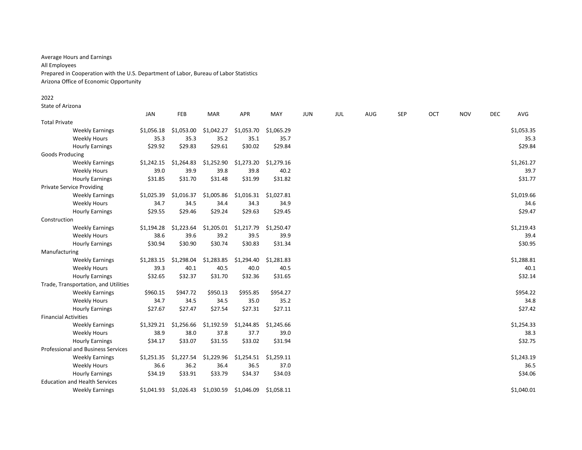Average Hours and Earnings All Employees Prepared in Cooperation with the U.S. Department of Labor, Bureau of Labor Statistics Arizona Office of Economic Opportunity

# 2022

State of Arizona

|                                      | JAN        | FEB        | <b>MAR</b> | <b>APR</b> | MAY        | <b>JUN</b> | JUL | AUG | SEP | OCT | <b>NOV</b> | <b>DEC</b> | AVG        |
|--------------------------------------|------------|------------|------------|------------|------------|------------|-----|-----|-----|-----|------------|------------|------------|
| <b>Total Private</b>                 |            |            |            |            |            |            |     |     |     |     |            |            |            |
| <b>Weekly Earnings</b>               | \$1,056.18 | \$1,053.00 | \$1,042.27 | \$1,053.70 | \$1,065.29 |            |     |     |     |     |            |            | \$1,053.35 |
| <b>Weekly Hours</b>                  | 35.3       | 35.3       | 35.2       | 35.1       | 35.7       |            |     |     |     |     |            |            | 35.3       |
| <b>Hourly Earnings</b>               | \$29.92    | \$29.83    | \$29.61    | \$30.02    | \$29.84    |            |     |     |     |     |            |            | \$29.84    |
| Goods Producing                      |            |            |            |            |            |            |     |     |     |     |            |            |            |
| <b>Weekly Earnings</b>               | \$1,242.15 | \$1,264.83 | \$1,252.90 | \$1,273.20 | \$1,279.16 |            |     |     |     |     |            |            | \$1,261.27 |
| <b>Weekly Hours</b>                  | 39.0       | 39.9       | 39.8       | 39.8       | 40.2       |            |     |     |     |     |            |            | 39.7       |
| <b>Hourly Earnings</b>               | \$31.85    | \$31.70    | \$31.48    | \$31.99    | \$31.82    |            |     |     |     |     |            |            | \$31.77    |
| <b>Private Service Providing</b>     |            |            |            |            |            |            |     |     |     |     |            |            |            |
| <b>Weekly Earnings</b>               | \$1,025.39 | \$1,016.37 | \$1,005.86 | \$1,016.31 | \$1,027.81 |            |     |     |     |     |            |            | \$1,019.66 |
| <b>Weekly Hours</b>                  | 34.7       | 34.5       | 34.4       | 34.3       | 34.9       |            |     |     |     |     |            |            | 34.6       |
| <b>Hourly Earnings</b>               | \$29.55    | \$29.46    | \$29.24    | \$29.63    | \$29.45    |            |     |     |     |     |            |            | \$29.47    |
| Construction                         |            |            |            |            |            |            |     |     |     |     |            |            |            |
| <b>Weekly Earnings</b>               | \$1,194.28 | \$1,223.64 | \$1,205.01 | \$1,217.79 | \$1,250.47 |            |     |     |     |     |            |            | \$1,219.43 |
| <b>Weekly Hours</b>                  | 38.6       | 39.6       | 39.2       | 39.5       | 39.9       |            |     |     |     |     |            |            | 39.4       |
| <b>Hourly Earnings</b>               | \$30.94    | \$30.90    | \$30.74    | \$30.83    | \$31.34    |            |     |     |     |     |            |            | \$30.95    |
| Manufacturing                        |            |            |            |            |            |            |     |     |     |     |            |            |            |
| <b>Weekly Earnings</b>               | \$1,283.15 | \$1,298.04 | \$1,283.85 | \$1,294.40 | \$1,281.83 |            |     |     |     |     |            |            | \$1,288.81 |
| <b>Weekly Hours</b>                  | 39.3       | 40.1       | 40.5       | 40.0       | 40.5       |            |     |     |     |     |            |            | 40.1       |
| <b>Hourly Earnings</b>               | \$32.65    | \$32.37    | \$31.70    | \$32.36    | \$31.65    |            |     |     |     |     |            |            | \$32.14    |
| Trade, Transportation, and Utilities |            |            |            |            |            |            |     |     |     |     |            |            |            |
| <b>Weekly Earnings</b>               | \$960.15   | \$947.72   | \$950.13   | \$955.85   | \$954.27   |            |     |     |     |     |            |            | \$954.22   |
| <b>Weekly Hours</b>                  | 34.7       | 34.5       | 34.5       | 35.0       | 35.2       |            |     |     |     |     |            |            | 34.8       |
| <b>Hourly Earnings</b>               | \$27.67    | \$27.47    | \$27.54    | \$27.31    | \$27.11    |            |     |     |     |     |            |            | \$27.42    |
| <b>Financial Activities</b>          |            |            |            |            |            |            |     |     |     |     |            |            |            |
| <b>Weekly Earnings</b>               | \$1,329.21 | \$1,256.66 | \$1,192.59 | \$1,244.85 | \$1,245.66 |            |     |     |     |     |            |            | \$1,254.33 |
| <b>Weekly Hours</b>                  | 38.9       | 38.0       | 37.8       | 37.7       | 39.0       |            |     |     |     |     |            |            | 38.3       |
| <b>Hourly Earnings</b>               | \$34.17    | \$33.07    | \$31.55    | \$33.02    | \$31.94    |            |     |     |     |     |            |            | \$32.75    |
| Professional and Business Services   |            |            |            |            |            |            |     |     |     |     |            |            |            |
| <b>Weekly Earnings</b>               | \$1,251.35 | \$1,227.54 | \$1,229.96 | \$1,254.51 | \$1,259.11 |            |     |     |     |     |            |            | \$1,243.19 |
| <b>Weekly Hours</b>                  | 36.6       | 36.2       | 36.4       | 36.5       | 37.0       |            |     |     |     |     |            |            | 36.5       |
| <b>Hourly Earnings</b>               | \$34.19    | \$33.91    | \$33.79    | \$34.37    | \$34.03    |            |     |     |     |     |            |            | \$34.06    |
| <b>Education and Health Services</b> |            |            |            |            |            |            |     |     |     |     |            |            |            |
| <b>Weekly Earnings</b>               | \$1,041.93 | \$1,026.43 | \$1,030.59 | \$1,046.09 | \$1,058.11 |            |     |     |     |     |            |            | \$1,040.01 |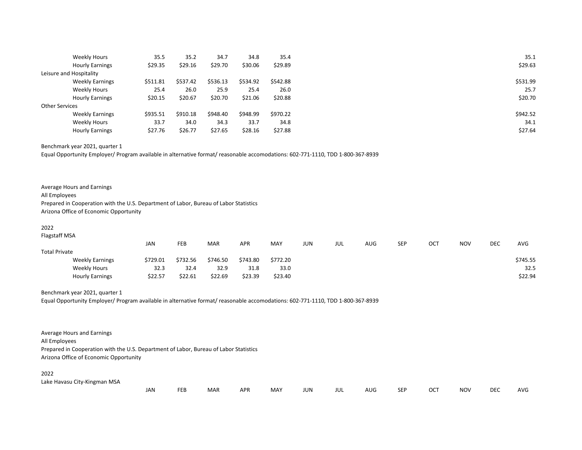|                       | Weekly Hours            | 35.5     | 35.2     | 34.7     | 34.8     | 35.4     |
|-----------------------|-------------------------|----------|----------|----------|----------|----------|
|                       | <b>Hourly Earnings</b>  | \$29.35  | \$29.16  | \$29.70  | \$30.06  | \$29.89  |
|                       | Leisure and Hospitality |          |          |          |          |          |
|                       | <b>Weekly Earnings</b>  | \$511.81 | \$537.42 | \$536.13 | \$534.92 | \$542.88 |
|                       | <b>Weekly Hours</b>     | 25.4     | 26.0     | 25.9     | 25.4     | 26.0     |
|                       | <b>Hourly Earnings</b>  | \$20.15  | \$20.67  | \$20.70  | \$21.06  | \$20.88  |
| <b>Other Services</b> |                         |          |          |          |          |          |
|                       | <b>Weekly Earnings</b>  | \$935.51 | \$910.18 | \$948.40 | \$948.99 | \$970.22 |
|                       | Weekly Hours            | 33.7     | 34.0     | 34.3     | 33.7     | 34.8     |
|                       | <b>Hourly Earnings</b>  | \$27.76  | \$26.77  | \$27.65  | \$28.16  | \$27.88  |

Benchmark year 2021, quarter 1

Equal Opportunity Employer/ Program available in alternative format/ reasonable accomodations: 602-771-1110, TDD 1-800-367-8939

| Average Hours and Earnings                                                            |
|---------------------------------------------------------------------------------------|
| All Employees                                                                         |
| Prepared in Cooperation with the U.S. Department of Labor, Bureau of Labor Statistics |
| Arizona Office of Economic Opportunity                                                |

#### 2022

Flagstaff MSA

|                        | JAN      | FEB      | MAR      | <b>APR</b> | MAY      | JUN | JUL | AUG | SEP | ОСТ | <b>NOV</b> | DEC | <b>AVG</b> |
|------------------------|----------|----------|----------|------------|----------|-----|-----|-----|-----|-----|------------|-----|------------|
| <b>Total Private</b>   |          |          |          |            |          |     |     |     |     |     |            |     |            |
| <b>Weekly Earnings</b> | \$729.01 | \$732.56 | \$746.50 | \$743.80   | \$772.20 |     |     |     |     |     |            |     | \$745.55   |
| Weekly Hours           | 32.3     | 32.4     | 32.9     | 31.8       | 33.0     |     |     |     |     |     |            |     | 32.5       |
| <b>Hourly Earnings</b> | \$22.57  | \$22.61  | \$22.69  | \$23.39    | \$23.40  |     |     |     |     |     |            |     | \$22.94    |

### Benchmark year 2021, quarter 1

Equal Opportunity Employer/ Program available in alternative format/ reasonable accomodations: 602-771-1110, TDD 1-800-367-8939

Average Hours and Earnings All Employees Prepared in Cooperation with the U.S. Department of Labor, Bureau of Labor Statistics Arizona Office of Economic Opportunity

# 2022

Lake Havasu City-Kingman MSA

| JAN | FEB | MAR | APR | MAY | <b>JUN</b> | <b>JUL</b> | <b>AUG</b> | <b>SEP</b> | <b>OCT</b> | NOV | <b>DEC</b> | AVG |
|-----|-----|-----|-----|-----|------------|------------|------------|------------|------------|-----|------------|-----|
|-----|-----|-----|-----|-----|------------|------------|------------|------------|------------|-----|------------|-----|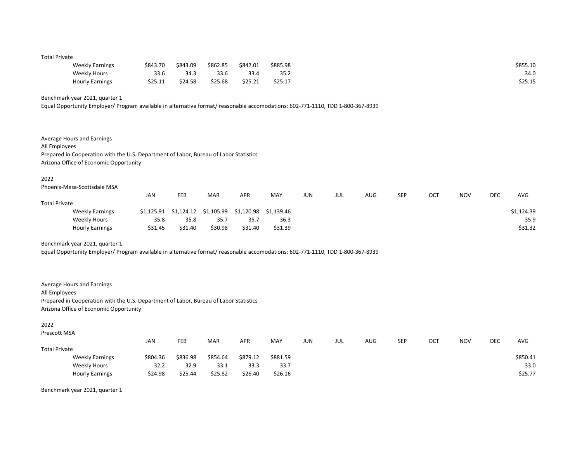### Total Private

| <b>Weekly Earnings</b> | \$843.70 | \$843.09 | \$862.85 | \$842.01 | \$885.98 | \$855.10 |
|------------------------|----------|----------|----------|----------|----------|----------|
| Weekly Hours           | 33.6     | 34.3     | 33.6     | 33.4     | 35.2     | 34.0     |
| <b>Hourly Earnings</b> | \$25.11  | \$24.58  | \$25.68  | \$25.21  | \$25.17  | \$25.15  |

# Benchmark year 2021, quarter 1

Equal Opportunity Employer/ Program available in alternative format/ reasonable accomodations: 602-771-1110, TDD 1-800-367-8939

| All Employees        | Average Hours and Earnings<br>Prepared in Cooperation with the U.S. Department of Labor, Bureau of Labor Statistics<br>Arizona Office of Economic Opportunity |            |            |            |            |            |            |            |     |            |     |            |     |            |
|----------------------|---------------------------------------------------------------------------------------------------------------------------------------------------------------|------------|------------|------------|------------|------------|------------|------------|-----|------------|-----|------------|-----|------------|
| 2022                 |                                                                                                                                                               |            |            |            |            |            |            |            |     |            |     |            |     |            |
|                      | Phoenix-Mesa-Scottsdale MSA                                                                                                                                   |            |            |            |            |            |            |            |     |            |     |            |     |            |
|                      |                                                                                                                                                               | <b>JAN</b> | <b>FEB</b> | <b>MAR</b> | <b>APR</b> | <b>MAY</b> | <b>JUN</b> | <b>JUL</b> | AUG | <b>SEP</b> | OCT | <b>NOV</b> | DEC | <b>AVG</b> |
| <b>Total Private</b> |                                                                                                                                                               |            |            |            |            |            |            |            |     |            |     |            |     |            |
|                      | <b>Weekly Earnings</b>                                                                                                                                        | \$1.125.91 | \$1,124.12 | \$1,105.99 | \$1,120.98 | \$1,139.46 |            |            |     |            |     |            |     | \$1,124.39 |
|                      | Weekly Hours                                                                                                                                                  | 35.8       | 35.8       | 35.7       | 35.7       | 36.3       |            |            |     |            |     |            |     | 35.9       |
|                      | <b>Hourly Earnings</b>                                                                                                                                        | \$31.45    | \$31.40    | \$30.98    | \$31.40    | \$31.39    |            |            |     |            |     |            |     | \$31.32    |

Benchmark year 2021, quarter 1

Equal Opportunity Employer/ Program available in alternative format/ reasonable accomodations: 602-771-1110, TDD 1-800-367-8939

| Average Hours and Earnings                                                            |
|---------------------------------------------------------------------------------------|
| All Employees                                                                         |
| Prepared in Cooperation with the U.S. Department of Labor, Bureau of Labor Statistics |
| Arizona Office of Economic Opportunity                                                |

### 2022

Prescott MSA

|                      |                        | JAN      | FEB      | <b>MAR</b> | <b>APR</b> | MAY      | JUN | JUL | AUG | SEP | OCT | <b>NOV</b> | DEC | <b>AVG</b> |
|----------------------|------------------------|----------|----------|------------|------------|----------|-----|-----|-----|-----|-----|------------|-----|------------|
| <b>Total Private</b> |                        |          |          |            |            |          |     |     |     |     |     |            |     |            |
|                      | <b>Weekly Earnings</b> | \$804.36 | \$836.98 | \$854.64   | \$879.12   | \$881.59 |     |     |     |     |     |            |     | \$850.41   |
|                      | Weekly Hours           | 32.2     | 32.9     | 33.1       | 33.3       | 33.7     |     |     |     |     |     |            |     | 33.0       |
|                      | <b>Hourly Earnings</b> | \$24.98  | \$25.44  | \$25.82    | \$26.40    | \$26.16  |     |     |     |     |     |            |     | \$25.77    |

Benchmark year 2021, quarter 1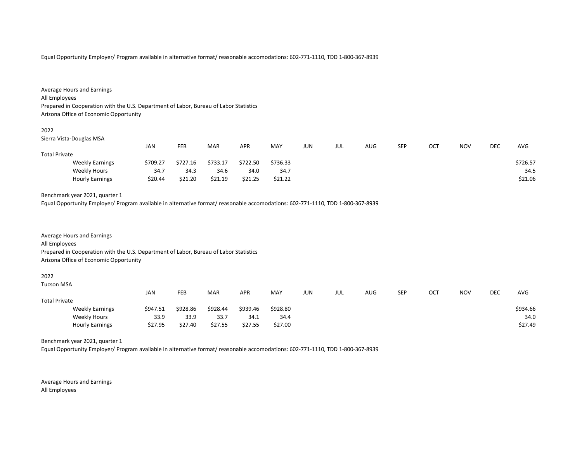Equal Opportunity Employer/ Program available in alternative format/ reasonable accomodations: 602-771-1110, TDD 1-800-367-8939

| Average Hours and Earnings                                                            |
|---------------------------------------------------------------------------------------|
| All Employees                                                                         |
| Prepared in Cooperation with the U.S. Department of Labor, Bureau of Labor Statistics |
| Arizona Office of Economic Opportunity                                                |
|                                                                                       |

### 2022

Sierra Vista-Douglas MSA

|                        | JAN      | FEB      | <b>MAR</b> | <b>APR</b> | MAY      | <b>JUN</b> | JUL | AUG | <b>SEP</b> | OCT | <b>NOV</b> | DEC | AVG      |
|------------------------|----------|----------|------------|------------|----------|------------|-----|-----|------------|-----|------------|-----|----------|
| <b>Total Private</b>   |          |          |            |            |          |            |     |     |            |     |            |     |          |
| <b>Weekly Earnings</b> | \$709.27 | \$727.16 | \$733.17   | \$722.50   | \$736.33 |            |     |     |            |     |            |     | \$726.57 |
| Weekly Hours           | 34.7     | 34.3     | 34.6       | 34.0       | 34.7     |            |     |     |            |     |            |     | 34.5     |
| <b>Hourly Earnings</b> | \$20.44  | \$21.20  | \$21.19    | \$21.25    | \$21.22  |            |     |     |            |     |            |     | \$21.06  |

# Benchmark year 2021, quarter 1

Equal Opportunity Employer/ Program available in alternative format/ reasonable accomodations: 602-771-1110, TDD 1-800-367-8939

Average Hours and Earnings All Employees Prepared in Cooperation with the U.S. Department of Labor, Bureau of Labor Statistics Arizona Office of Economic Opportunity

#### 2022

| <b>Tucson MSA</b>    |                        |            |            |            |          |          |     |     |     |            |     |            |            |          |
|----------------------|------------------------|------------|------------|------------|----------|----------|-----|-----|-----|------------|-----|------------|------------|----------|
|                      |                        | <b>JAN</b> | <b>FEB</b> | <b>MAR</b> | APR      | MAY      | JUN | jul | AUG | <b>SEP</b> | OCT | <b>NOV</b> | <b>DEC</b> | AVG      |
| <b>Total Private</b> |                        |            |            |            |          |          |     |     |     |            |     |            |            |          |
|                      | <b>Weekly Earnings</b> | \$947.51   | \$928.86   | \$928.44   | \$939.46 | \$928.80 |     |     |     |            |     |            |            | \$934.66 |
|                      | Weekly Hours           | 33.9       | 33.9       | 33.7       | 34.1     | 34.4     |     |     |     |            |     |            |            | 34.0     |
|                      | <b>Hourly Earnings</b> | \$27.95    | \$27.40    | \$27.55    | \$27.55  | \$27.00  |     |     |     |            |     |            |            | \$27.49  |

Benchmark year 2021, quarter 1

Equal Opportunity Employer/ Program available in alternative format/ reasonable accomodations: 602-771-1110, TDD 1-800-367-8939

Average Hours and Earnings All Employees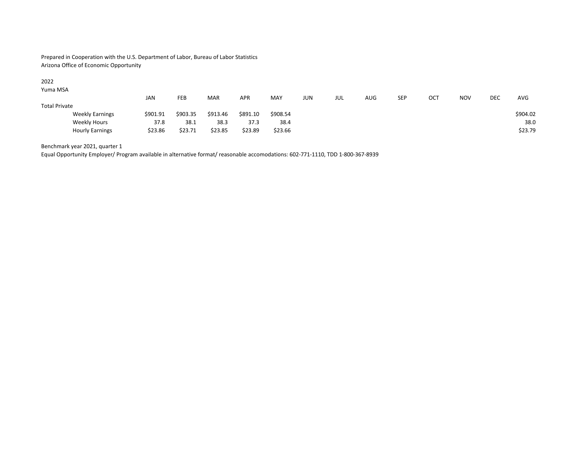Prepared in Cooperation with the U.S. Department of Labor, Bureau of Labor Statistics Arizona Office of Economic Opportunity

## 2022

Yuma MSA

|                        | JAN      | FEB      | <b>MAR</b> | <b>APR</b> | MAY      | JUN | JUL | AUG | SEP | ОСТ | <b>NOV</b> | DEC | <b>AVG</b> |
|------------------------|----------|----------|------------|------------|----------|-----|-----|-----|-----|-----|------------|-----|------------|
| <b>Total Private</b>   |          |          |            |            |          |     |     |     |     |     |            |     |            |
| <b>Weekly Earnings</b> | \$901.91 | \$903.35 | \$913.46   | \$891.10   | \$908.54 |     |     |     |     |     |            |     | \$904.02   |
| Weekly Hours           | 37.8     | 38.1     | 38.3       | 37.3       | 38.4     |     |     |     |     |     |            |     | 38.0       |
| <b>Hourly Earnings</b> | \$23.86  | \$23.71  | \$23.85    | \$23.89    | \$23.66  |     |     |     |     |     |            |     | \$23.79    |

Benchmark year 2021, quarter 1

Equal Opportunity Employer/ Program available in alternative format/ reasonable accomodations: 602-771-1110, TDD 1-800-367-8939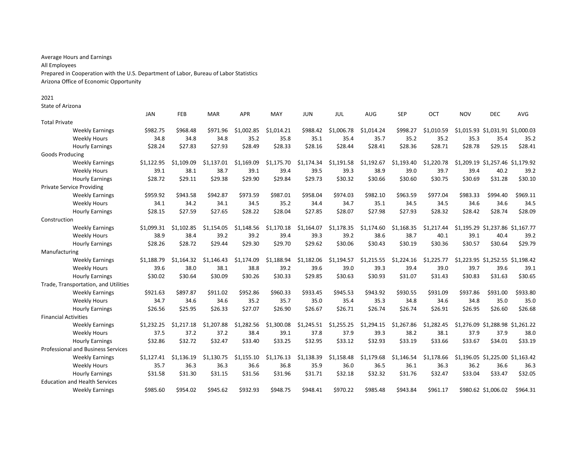Average Hours and Earnings All Employees Prepared in Cooperation with the U.S. Department of Labor, Bureau of Labor Statistics Arizona Office of Economic Opportunity

# 2021

State of Arizona

|                                           | <b>JAN</b> | FEB        | <b>MAR</b> | <b>APR</b> | MAY        | <b>JUN</b> | JUL        | AUG        | <b>SEP</b> | OCT        | <b>NOV</b> | <b>DEC</b>                       | AVG      |
|-------------------------------------------|------------|------------|------------|------------|------------|------------|------------|------------|------------|------------|------------|----------------------------------|----------|
| <b>Total Private</b>                      |            |            |            |            |            |            |            |            |            |            |            |                                  |          |
| <b>Weekly Earnings</b>                    | \$982.75   | \$968.48   | \$971.96   | \$1,002.85 | \$1,014.21 | \$988.42   | \$1,006.78 | \$1,014.24 | \$998.27   | \$1,010.59 |            | \$1,015.93 \$1,031.91 \$1,000.03 |          |
| <b>Weekly Hours</b>                       | 34.8       | 34.8       | 34.8       | 35.2       | 35.8       | 35.1       | 35.4       | 35.7       | 35.2       | 35.2       | 35.3       | 35.4                             | 35.2     |
| <b>Hourly Earnings</b>                    | \$28.24    | \$27.83    | \$27.93    | \$28.49    | \$28.33    | \$28.16    | \$28.44    | \$28.41    | \$28.36    | \$28.71    | \$28.78    | \$29.15                          | \$28.41  |
| <b>Goods Producing</b>                    |            |            |            |            |            |            |            |            |            |            |            |                                  |          |
| <b>Weekly Earnings</b>                    | \$1,122.95 | \$1.109.09 | \$1.137.01 | \$1,169.09 | \$1,175.70 | \$1,174.34 | \$1,191.58 | \$1,192.67 | \$1,193.40 | \$1,220.78 |            | \$1,209.19 \$1,257.46 \$1,179.92 |          |
| <b>Weekly Hours</b>                       | 39.1       | 38.1       | 38.7       | 39.1       | 39.4       | 39.5       | 39.3       | 38.9       | 39.0       | 39.7       | 39.4       | 40.2                             | 39.2     |
| <b>Hourly Earnings</b>                    | \$28.72    | \$29.11    | \$29.38    | \$29.90    | \$29.84    | \$29.73    | \$30.32    | \$30.66    | \$30.60    | \$30.75    | \$30.69    | \$31.28                          | \$30.10  |
| <b>Private Service Providing</b>          |            |            |            |            |            |            |            |            |            |            |            |                                  |          |
| <b>Weekly Earnings</b>                    | \$959.92   | \$943.58   | \$942.87   | \$973.59   | \$987.01   | \$958.04   | \$974.03   | \$982.10   | \$963.59   | \$977.04   | \$983.33   | \$994.40                         | \$969.11 |
| <b>Weekly Hours</b>                       | 34.1       | 34.2       | 34.1       | 34.5       | 35.2       | 34.4       | 34.7       | 35.1       | 34.5       | 34.5       | 34.6       | 34.6                             | 34.5     |
| <b>Hourly Earnings</b>                    | \$28.15    | \$27.59    | \$27.65    | \$28.22    | \$28.04    | \$27.85    | \$28.07    | \$27.98    | \$27.93    | \$28.32    | \$28.42    | \$28.74                          | \$28.09  |
| Construction                              |            |            |            |            |            |            |            |            |            |            |            |                                  |          |
| <b>Weekly Earnings</b>                    | \$1,099.31 | \$1,102.85 | \$1,154.05 | \$1,148.56 | \$1,170.18 | \$1,164.07 | \$1,178.35 | \$1,174.60 | \$1,168.35 | \$1,217.44 |            | \$1,195.29 \$1,237.86 \$1,167.77 |          |
| <b>Weekly Hours</b>                       | 38.9       | 38.4       | 39.2       | 39.2       | 39.4       | 39.3       | 39.2       | 38.6       | 38.7       | 40.1       | 39.1       | 40.4                             | 39.2     |
| <b>Hourly Earnings</b>                    | \$28.26    | \$28.72    | \$29.44    | \$29.30    | \$29.70    | \$29.62    | \$30.06    | \$30.43    | \$30.19    | \$30.36    | \$30.57    | \$30.64                          | \$29.79  |
| Manufacturing                             |            |            |            |            |            |            |            |            |            |            |            |                                  |          |
| <b>Weekly Earnings</b>                    | \$1.188.79 | \$1.164.32 | \$1.146.43 | \$1,174.09 | \$1,188.94 | \$1,182.06 | \$1,194.57 | \$1,215.55 | \$1.224.16 | \$1,225.77 |            | \$1,223.95 \$1,252.55 \$1,198.42 |          |
| <b>Weekly Hours</b>                       | 39.6       | 38.0       | 38.1       | 38.8       | 39.2       | 39.6       | 39.0       | 39.3       | 39.4       | 39.0       | 39.7       | 39.6                             | 39.1     |
| <b>Hourly Earnings</b>                    | \$30.02    | \$30.64    | \$30.09    | \$30.26    | \$30.33    | \$29.85    | \$30.63    | \$30.93    | \$31.07    | \$31.43    | \$30.83    | \$31.63                          | \$30.65  |
| Trade, Transportation, and Utilities      |            |            |            |            |            |            |            |            |            |            |            |                                  |          |
| <b>Weekly Earnings</b>                    | \$921.63   | \$897.87   | \$911.02   | \$952.86   | \$960.33   | \$933.45   | \$945.53   | \$943.92   | \$930.55   | \$931.09   | \$937.86   | \$931.00                         | \$933.80 |
| <b>Weekly Hours</b>                       | 34.7       | 34.6       | 34.6       | 35.2       | 35.7       | 35.0       | 35.4       | 35.3       | 34.8       | 34.6       | 34.8       | 35.0                             | 35.0     |
| <b>Hourly Earnings</b>                    | \$26.56    | \$25.95    | \$26.33    | \$27.07    | \$26.90    | \$26.67    | \$26.71    | \$26.74    | \$26.74    | \$26.91    | \$26.95    | \$26.60                          | \$26.68  |
| <b>Financial Activities</b>               |            |            |            |            |            |            |            |            |            |            |            |                                  |          |
| <b>Weekly Earnings</b>                    | \$1,232.25 | \$1,217.18 | \$1,207.88 | \$1,282.56 | \$1,300.08 | \$1,245.51 | \$1,255.25 | \$1,294.15 | \$1,267.86 | \$1,282.45 |            | \$1,276.09 \$1,288.98 \$1,261.22 |          |
| <b>Weekly Hours</b>                       | 37.5       | 37.2       | 37.2       | 38.4       | 39.1       | 37.8       | 37.9       | 39.3       | 38.2       | 38.1       | 37.9       | 37.9                             | 38.0     |
| <b>Hourly Earnings</b>                    | \$32.86    | \$32.72    | \$32.47    | \$33.40    | \$33.25    | \$32.95    | \$33.12    | \$32.93    | \$33.19    | \$33.66    | \$33.67    | \$34.01                          | \$33.19  |
| <b>Professional and Business Services</b> |            |            |            |            |            |            |            |            |            |            |            |                                  |          |
| <b>Weekly Earnings</b>                    | \$1,127.41 | \$1.136.19 | \$1.130.75 | \$1.155.10 | \$1.176.13 | \$1,138.39 | \$1,158.48 | \$1,179.68 | \$1,146.54 | \$1,178.66 |            | \$1,196.05 \$1,225.00 \$1,163.42 |          |
| <b>Weekly Hours</b>                       | 35.7       | 36.3       | 36.3       | 36.6       | 36.8       | 35.9       | 36.0       | 36.5       | 36.1       | 36.3       | 36.2       | 36.6                             | 36.3     |
| <b>Hourly Earnings</b>                    | \$31.58    | \$31.30    | \$31.15    | \$31.56    | \$31.96    | \$31.71    | \$32.18    | \$32.32    | \$31.76    | \$32.47    | \$33.04    | \$33.47                          | \$32.05  |
| <b>Education and Health Services</b>      |            |            |            |            |            |            |            |            |            |            |            |                                  |          |
| <b>Weekly Earnings</b>                    | \$985.60   | \$954.02   | \$945.62   | \$932.93   | \$948.75   | \$948.41   | \$970.22   | \$985.48   | \$943.84   | \$961.17   |            | \$980.62 \$1,006.02              | \$964.31 |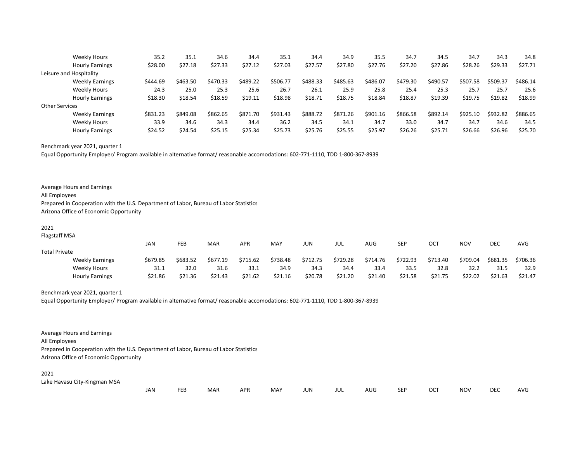|                         | Weekly Hours           | 35.2     | 35.1     | 34.6     | 34.4     | 35.1     | 34.4     | 34.9     | 35.5     | 34.7     | 34.5     | 34.7     | 34.3     | 34.8     |
|-------------------------|------------------------|----------|----------|----------|----------|----------|----------|----------|----------|----------|----------|----------|----------|----------|
|                         | <b>Hourly Earnings</b> | \$28.00  | \$27.18  | \$27.33  | \$27.12  | \$27.03  | \$27.57  | \$27.80  | \$27.76  | \$27.20  | \$27.86  | \$28.26  | \$29.33  | \$27.71  |
| Leisure and Hospitality |                        |          |          |          |          |          |          |          |          |          |          |          |          |          |
|                         | <b>Weekly Earnings</b> | \$444.69 | \$463.50 | \$470.33 | \$489.22 | \$506.77 | \$488.33 | \$485.63 | \$486.07 | \$479.30 | \$490.57 | \$507.58 | \$509.37 | \$486.14 |
|                         | Weekly Hours           | 24.3     | 25.0     | 25.3     | 25.6     | 26.7     | 26.1     | 25.9     | 25.8     | 25.4     | 25.3     | 25.7     | 25.7     | 25.6     |
|                         | <b>Hourly Earnings</b> | \$18.30  | \$18.54  | \$18.59  | \$19.11  | \$18.98  | \$18.71  | \$18.75  | \$18.84  | \$18.87  | \$19.39  | \$19.75  | \$19.82  | \$18.99  |
| <b>Other Services</b>   |                        |          |          |          |          |          |          |          |          |          |          |          |          |          |
|                         | <b>Weekly Earnings</b> | \$831.23 | \$849.08 | \$862.65 | \$871.70 | \$931.43 | \$888.72 | \$871.26 | \$901.16 | \$866.58 | \$892.14 | \$925.10 | \$932.82 | \$886.65 |
|                         | Weekly Hours           | 33.9     | 34.6     | 34.3     | 34.4     | 36.2     | 34.5     | 34.1     | 34.7     | 33.0     | 34.7     | 34.7     | 34.6     | 34.5     |
|                         | <b>Hourly Earnings</b> | \$24.52  | \$24.54  | \$25.15  | \$25.34  | \$25.73  | \$25.76  | \$25.55  | \$25.97  | \$26.26  | \$25.71  | \$26.66  | \$26.96  | \$25.70  |

Benchmark year 2021, quarter 1

Equal Opportunity Employer/ Program available in alternative format/ reasonable accomodations: 602-771-1110, TDD 1-800-367-8939

| Average Hours and Earnings                                                            |
|---------------------------------------------------------------------------------------|
| All Employees                                                                         |
| Prepared in Cooperation with the U.S. Department of Labor, Bureau of Labor Statistics |
| Arizona Office of Economic Opportunity                                                |

Flagstaff MSA

|                      |                        | JAN      | FEB      | MAR      | APR      | MAY      | JUN.     | JUL      | <b>AUG</b> | SEP      | OCT      | <b>NOV</b> | DEC      | <b>AVG</b> |
|----------------------|------------------------|----------|----------|----------|----------|----------|----------|----------|------------|----------|----------|------------|----------|------------|
| <b>Total Private</b> |                        |          |          |          |          |          |          |          |            |          |          |            |          |            |
|                      | <b>Weekly Earnings</b> | \$679.85 | \$683.52 | \$677.19 | \$715.62 | \$738.48 | \$712.75 | \$729.28 | \$714.76   | \$722.93 | \$713.40 | \$709.04   | \$681.35 | \$706.36   |
|                      | Weekly Hours           | 31.1     | 32.0     | 31.6     | 33.1     | 34.9     | 34.3     | 34.4     | 33.4       | 33.5     | 32.8     | 32.2       | 31.5     | 32.9       |
|                      | <b>Hourly Earnings</b> | \$21.86  | \$21.36  | \$21.43  | \$21.62  | \$21.16  | \$20.78  | \$21.20  | \$21.40    | \$21.58  | \$21.75  | \$22.02    | \$21.63  | \$21.47    |

Benchmark year 2021, quarter 1

Equal Opportunity Employer/ Program available in alternative format/ reasonable accomodations: 602-771-1110, TDD 1-800-367-8939

Average Hours and Earnings All Employees Prepared in Cooperation with the U.S. Department of Labor, Bureau of Labor Statistics Arizona Office of Economic Opportunity

### 2021

Lake Havasu City-Kingman MSA

| .<br>JAN |  | MAR | ΔDR<br>11 | MAY | JUN | JUL | AUG. | ЪE | $\sim$<br>◡◡ | <b>NOV</b> | <b>DEC</b> | <b>AVC</b> |
|----------|--|-----|-----------|-----|-----|-----|------|----|--------------|------------|------------|------------|
|----------|--|-----|-----------|-----|-----|-----|------|----|--------------|------------|------------|------------|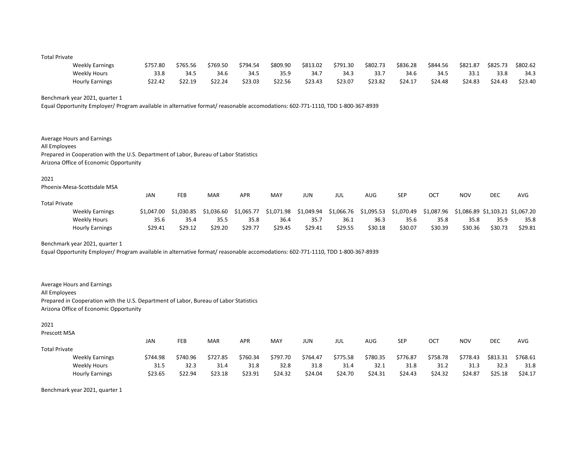#### Total Private

| <b>Weekly Earnings</b> | \$757.80 | \$765.56 | \$769.50 | \$794.54 | \$809.90 | \$813.02 | \$791.30 | \$802.73 | \$836.28 | \$844.56 | \$821.87 | \$825.73 | \$802.62 |
|------------------------|----------|----------|----------|----------|----------|----------|----------|----------|----------|----------|----------|----------|----------|
| Weekly Hours           | 33.8     | 34.5     | 34.6     | 34.5     | 35.9     | 34.7     | 34.3     | 33.7     | 34.6     | 34.5     | 33.1     | 33.8     | 34.3     |
| <b>Hourly Earnings</b> | \$22.42  | \$22.19  | \$22.24  | \$23.03  | \$22.56  | \$23.43  | \$23.07  | \$23.82  | \$24.17  | \$24.48  | \$24.83  | \$24.43  | \$23.40  |

Benchmark year 2021, quarter 1

Equal Opportunity Employer/ Program available in alternative format/ reasonable accomodations: 602-771-1110, TDD 1-800-367-8939

Average Hours and Earnings All Employees Prepared in Cooperation with the U.S. Department of Labor, Bureau of Labor Statistics Arizona Office of Economic Opportunity

### 2021

Phoenix-Mesa-Scottsdale MSA

|                      |                        | JAN        | <b>FEB</b> | MAR        | APR        | MAY        | JUN        | JUL        | AUG        | SEP        | OCT        | <b>NOV</b>                       | <b>DEC</b> | AVG     |
|----------------------|------------------------|------------|------------|------------|------------|------------|------------|------------|------------|------------|------------|----------------------------------|------------|---------|
| <b>Total Private</b> |                        |            |            |            |            |            |            |            |            |            |            |                                  |            |         |
|                      | <b>Weekly Earnings</b> | \$1,047.00 | \$1.030.85 | \$1,036.60 | \$1.065.77 | \$1.071.98 | \$1.049.94 | \$1.066.76 | \$1.095.53 | \$1.070.49 | \$1.087.96 | \$1.086.89 \$1.103.21 \$1.067.20 |            |         |
|                      | Weekly Hours           | 35.6       | 35.4       | 35.5       | 35.8       | 36.4       | 35.7       | 36.1       | 36.3       | 35.6       | 35.8       | 35.8                             | 35.9       | 35.8    |
|                      | <b>Hourly Earnings</b> | \$29.41    | \$29.12    | \$29.20    | \$29.77    | \$29.45    | \$29.41    | \$29.55    | \$30.18    | \$30.07    | \$30.39    | \$30.36                          | \$30.73    | \$29.81 |

Benchmark year 2021, quarter 1

Equal Opportunity Employer/ Program available in alternative format/ reasonable accomodations: 602-771-1110, TDD 1-800-367-8939

Average Hours and Earnings All Employees Prepared in Cooperation with the U.S. Department of Labor, Bureau of Labor Statistics Arizona Office of Economic Opportunity

#### 2021

Prescott MSA

|                      |                        | JAN      | FEB      | <b>MAR</b> | <b>APR</b> | MAY      | JUN      | JUL      | AUG      | SEP      | ост      | <b>NOV</b> | <b>DEC</b> | <b>AVG</b> |
|----------------------|------------------------|----------|----------|------------|------------|----------|----------|----------|----------|----------|----------|------------|------------|------------|
| <b>Total Private</b> |                        |          |          |            |            |          |          |          |          |          |          |            |            |            |
|                      | <b>Weekly Earnings</b> | \$744.98 | \$740.96 | \$727.85   | \$760.34   | \$797.70 | \$764.47 | \$775.58 | \$780.35 | \$776.87 | \$758.78 | \$778.43   | \$813.31   | \$768.61   |
|                      | Weekly Hours           | 31.5     | 32.3     | 31.4       | 31.8       | 32.8     | 31.8     | 31.4     | 32.1     | 31.8     | 31.2     | 31.3       | 32.3       | 31.8       |
|                      | <b>Hourly Earnings</b> | \$23.65  | \$22.94  | \$23.18    | \$23.91    | \$24.32  | \$24.04  | \$24.70  | \$24.31  | \$24.43  | \$24.32  | \$24.87    | \$25.18    | \$24.17    |

Benchmark year 2021, quarter 1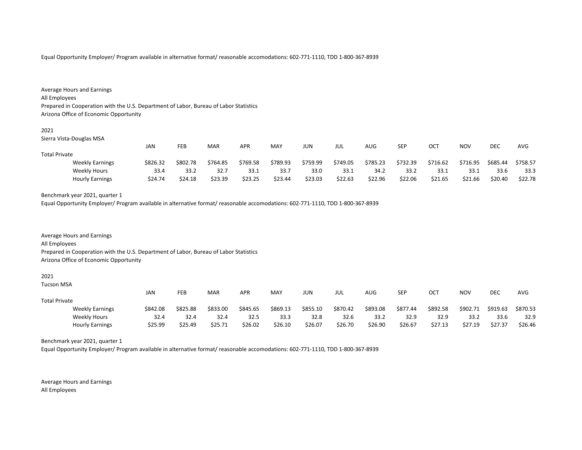Equal Opportunity Employer/ Program available in alternative format/ reasonable accomodations: 602-771-1110, TDD 1-800-367-8939

| Average Hours and Earnings                                                            |
|---------------------------------------------------------------------------------------|
| All Employees                                                                         |
| Prepared in Cooperation with the U.S. Department of Labor, Bureau of Labor Statistics |
| Arizona Office of Economic Opportunity                                                |
|                                                                                       |

| I<br>×<br>۰, |  |
|--------------|--|

Sierra Vista-Douglas MSA

|                      |                        | JAN      | <b>FEB</b> | MAR      | <b>APR</b> | MAY      | JUN      | jul      | AUG      | <b>SEP</b> | ост      | NOV      | <b>DEC</b> | <b>AVG</b> |
|----------------------|------------------------|----------|------------|----------|------------|----------|----------|----------|----------|------------|----------|----------|------------|------------|
| <b>Total Private</b> |                        |          |            |          |            |          |          |          |          |            |          |          |            |            |
|                      | <b>Weekly Earnings</b> | \$826.32 | \$802.78   | \$764.85 | \$769.58   | \$789.93 | \$759.99 | \$749.05 | \$785.23 | \$732.39   | \$716.62 | \$716.95 | \$685.44   | \$758.57   |
|                      | <b>Weekly Hours</b>    | 33.4     | 33.2       | 32.7     | 33.1       | 33.7     | 33.0     | 33.1     | 34.2     | 33.2       | 33.1     | 33.1     | 33.6       | 33.3       |
|                      | <b>Hourly Earnings</b> | \$24.74  | \$24.18    | \$23.39  | \$23.25    | \$23.44  | \$23.03  | \$22.63  | \$22.96  | \$22.06    | \$21.65  | \$21.66  | \$20.40    | \$22.78    |

# Benchmark year 2021, quarter 1

Equal Opportunity Employer/ Program available in alternative format/ reasonable accomodations: 602-771-1110, TDD 1-800-367-8939

Average Hours and Earnings All Employees Prepared in Cooperation with the U.S. Department of Labor, Bureau of Labor Statistics Arizona Office of Economic Opportunity

2021

Tucson MSA

|                      |                        | JAN      | <b>FEB</b> | MAR      | <b>APR</b> | MAY      | JUN      | JUL      | AUG      | <b>SEP</b> | ОСТ      | <b>NOV</b> | DEC      | <b>AVG</b> |
|----------------------|------------------------|----------|------------|----------|------------|----------|----------|----------|----------|------------|----------|------------|----------|------------|
| <b>Total Private</b> |                        |          |            |          |            |          |          |          |          |            |          |            |          |            |
|                      | <b>Weekly Earnings</b> | \$842.08 | \$825.88   | \$833.00 | \$845.65   | \$869.13 | \$855.10 | \$870.42 | \$893.08 | \$877.44   | \$892.58 | \$902.71   | \$919.63 | \$870.53   |
|                      | Weekly Hours           | 32.4     | 32.4       | 32.4     | 32.5       | 33.3     | 32.8     | 32.6     | 33.2     | 32.9       | 32.9     | 33.2       | 33.6     | 32.9       |
|                      | <b>Hourly Earnings</b> | \$25.99  | \$25.49    | \$25.71  | \$26.02    | \$26.10  | \$26.07  | \$26.70  | \$26.90  | \$26.67    | \$27.13  | \$27.19    | \$27.37  | \$26.46    |

Benchmark year 2021, quarter 1

Equal Opportunity Employer/ Program available in alternative format/ reasonable accomodations: 602-771-1110, TDD 1-800-367-8939

Average Hours and Earnings All Employees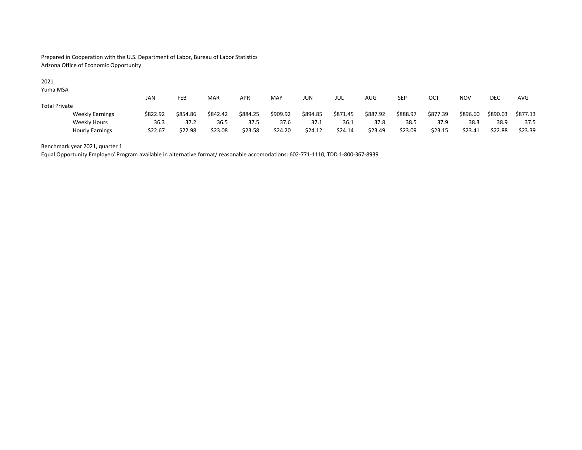Prepared in Cooperation with the U.S. Department of Labor, Bureau of Labor Statistics Arizona Office of Economic Opportunity

## 2021

Yuma MSA

|                        | JAN |          | FEB      | <b>MAR</b> | <b>APR</b> | MAY      | JUN      | JUL      | AUG      | <b>SEP</b> | OCT      | <b>NOV</b> | <b>DEC</b> | AVG      |
|------------------------|-----|----------|----------|------------|------------|----------|----------|----------|----------|------------|----------|------------|------------|----------|
| <b>Total Private</b>   |     |          |          |            |            |          |          |          |          |            |          |            |            |          |
| <b>Weekly Earnings</b> |     | \$822.92 | \$854.86 | \$842.42   | \$884.25   | \$909.92 | \$894.85 | \$871.45 | \$887.92 | \$888.97   | \$877.39 | \$896.60   | \$890.03   | \$877.13 |
| Weekly Hours           |     | 36.3     | 37.2     | 36.5       | 37.5       | 37.6     | 37.1     | 36.1     | 37.8     | 38.5       | 37.9     | 38.3       | 38.9       | 37.5     |
| <b>Hourly Earnings</b> |     | \$22.67  | \$22.98  | \$23.08    | \$23.58    | \$24.20  | \$24.12  | \$24.14  | \$23.49  | \$23.09    | \$23.15  | \$23.41    | \$22.88    | \$23.39  |

Benchmark year 2021, quarter 1

Equal Opportunity Employer/ Program available in alternative format/ reasonable accomodations: 602-771-1110, TDD 1-800-367-8939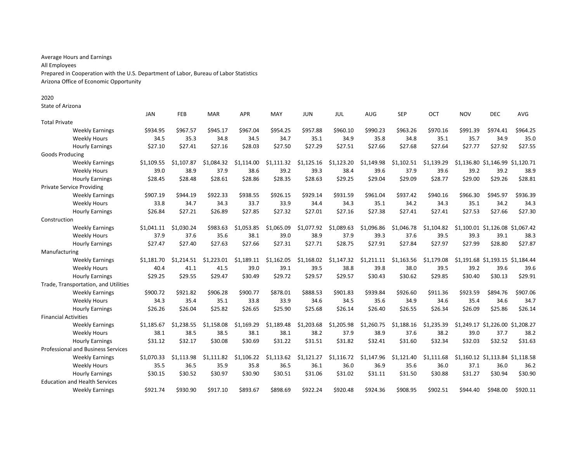Average Hours and Earnings All Employees Prepared in Cooperation with the U.S. Department of Labor, Bureau of Labor Statistics Arizona Office of Economic Opportunity

State of Arizona

|                             |                                           | <b>JAN</b> | FEB        | <b>MAR</b> | <b>APR</b> | MAY        | <b>JUN</b> | <b>JUL</b> | AUG        | <b>SEP</b> | <b>OCT</b> | <b>NOV</b> | <b>DEC</b>                       | <b>AVG</b> |
|-----------------------------|-------------------------------------------|------------|------------|------------|------------|------------|------------|------------|------------|------------|------------|------------|----------------------------------|------------|
| <b>Total Private</b>        |                                           |            |            |            |            |            |            |            |            |            |            |            |                                  |            |
|                             | <b>Weekly Earnings</b>                    | \$934.95   | \$967.57   | \$945.17   | \$967.04   | \$954.25   | \$957.88   | \$960.10   | \$990.23   | \$963.26   | \$970.16   | \$991.39   | \$974.41                         | \$964.25   |
|                             | <b>Weekly Hours</b>                       | 34.5       | 35.3       | 34.8       | 34.5       | 34.7       | 35.1       | 34.9       | 35.8       | 34.8       | 35.1       | 35.7       | 34.9                             | 35.0       |
|                             | <b>Hourly Earnings</b>                    | \$27.10    | \$27.41    | \$27.16    | \$28.03    | \$27.50    | \$27.29    | \$27.51    | \$27.66    | \$27.68    | \$27.64    | \$27.77    | \$27.92                          | \$27.55    |
| <b>Goods Producing</b>      |                                           |            |            |            |            |            |            |            |            |            |            |            |                                  |            |
|                             | <b>Weekly Earnings</b>                    | \$1,109.55 | \$1,107.87 | \$1,084.32 | \$1,114.00 | \$1,111.32 | \$1,125.16 | \$1,123.20 | \$1,149.98 | \$1,102.51 | \$1,139.29 |            | \$1,136.80 \$1,146.99 \$1,120.71 |            |
|                             | <b>Weekly Hours</b>                       | 39.0       | 38.9       | 37.9       | 38.6       | 39.2       | 39.3       | 38.4       | 39.6       | 37.9       | 39.6       | 39.2       | 39.2                             | 38.9       |
|                             | <b>Hourly Earnings</b>                    | \$28.45    | \$28.48    | \$28.61    | \$28.86    | \$28.35    | \$28.63    | \$29.25    | \$29.04    | \$29.09    | \$28.77    | \$29.00    | \$29.26                          | \$28.81    |
|                             | <b>Private Service Providing</b>          |            |            |            |            |            |            |            |            |            |            |            |                                  |            |
|                             | <b>Weekly Earnings</b>                    | \$907.19   | \$944.19   | \$922.33   | \$938.55   | \$926.15   | \$929.14   | \$931.59   | \$961.04   | \$937.42   | \$940.16   | \$966.30   | \$945.97                         | \$936.39   |
|                             | <b>Weekly Hours</b>                       | 33.8       | 34.7       | 34.3       | 33.7       | 33.9       | 34.4       | 34.3       | 35.1       | 34.2       | 34.3       | 35.1       | 34.2                             | 34.3       |
|                             | <b>Hourly Earnings</b>                    | \$26.84    | \$27.21    | \$26.89    | \$27.85    | \$27.32    | \$27.01    | \$27.16    | \$27.38    | \$27.41    | \$27.41    | \$27.53    | \$27.66                          | \$27.30    |
| Construction                |                                           |            |            |            |            |            |            |            |            |            |            |            |                                  |            |
|                             | <b>Weekly Earnings</b>                    | \$1.041.11 | \$1.030.24 | \$983.63   | \$1,053.85 | \$1.065.09 | \$1,077.92 | \$1,089.63 | \$1.096.86 | \$1,046.78 | \$1.104.82 |            | \$1,100.01 \$1,126.08 \$1,067.42 |            |
|                             | <b>Weekly Hours</b>                       | 37.9       | 37.6       | 35.6       | 38.1       | 39.0       | 38.9       | 37.9       | 39.3       | 37.6       | 39.5       | 39.3       | 39.1                             | 38.3       |
|                             | <b>Hourly Earnings</b>                    | \$27.47    | \$27.40    | \$27.63    | \$27.66    | \$27.31    | \$27.71    | \$28.75    | \$27.91    | \$27.84    | \$27.97    | \$27.99    | \$28.80                          | \$27.87    |
| Manufacturing               |                                           |            |            |            |            |            |            |            |            |            |            |            |                                  |            |
|                             | <b>Weekly Earnings</b>                    | \$1.181.70 | \$1.214.51 | \$1.223.01 | \$1.189.11 | \$1,162.05 | \$1,168.02 | \$1,147.32 | \$1,211.11 | \$1.163.56 | \$1,179.08 |            | \$1,191.68 \$1,193.15 \$1,184.44 |            |
|                             | <b>Weekly Hours</b>                       | 40.4       | 41.1       | 41.5       | 39.0       | 39.1       | 39.5       | 38.8       | 39.8       | 38.0       | 39.5       | 39.2       | 39.6                             | 39.6       |
|                             | <b>Hourly Earnings</b>                    | \$29.25    | \$29.55    | \$29.47    | \$30.49    | \$29.72    | \$29.57    | \$29.57    | \$30.43    | \$30.62    | \$29.85    | \$30.40    | \$30.13                          | \$29.91    |
|                             | Trade, Transportation, and Utilities      |            |            |            |            |            |            |            |            |            |            |            |                                  |            |
|                             | <b>Weekly Earnings</b>                    | \$900.72   | \$921.82   | \$906.28   | \$900.77   | \$878.01   | \$888.53   | \$901.83   | \$939.84   | \$926.60   | \$911.36   | \$923.59   | \$894.76                         | \$907.06   |
|                             | <b>Weekly Hours</b>                       | 34.3       | 35.4       | 35.1       | 33.8       | 33.9       | 34.6       | 34.5       | 35.6       | 34.9       | 34.6       | 35.4       | 34.6                             | 34.7       |
|                             | <b>Hourly Earnings</b>                    | \$26.26    | \$26.04    | \$25.82    | \$26.65    | \$25.90    | \$25.68    | \$26.14    | \$26.40    | \$26.55    | \$26.34    | \$26.09    | \$25.86                          | \$26.14    |
| <b>Financial Activities</b> |                                           |            |            |            |            |            |            |            |            |            |            |            |                                  |            |
|                             | <b>Weekly Earnings</b>                    | \$1,185.67 | \$1,238.55 | \$1,158.08 | \$1,169.29 | \$1,189.48 | \$1,203.68 | \$1,205.98 | \$1,260.75 | \$1,188.16 | \$1,235.39 |            | \$1,249.17 \$1,226.00 \$1,208.27 |            |
|                             | <b>Weekly Hours</b>                       | 38.1       | 38.5       | 38.5       | 38.1       | 38.1       | 38.2       | 37.9       | 38.9       | 37.6       | 38.2       | 39.0       | 37.7                             | 38.2       |
|                             | <b>Hourly Earnings</b>                    | \$31.12    | \$32.17    | \$30.08    | \$30.69    | \$31.22    | \$31.51    | \$31.82    | \$32.41    | \$31.60    | \$32.34    | \$32.03    | \$32.52                          | \$31.63    |
|                             | <b>Professional and Business Services</b> |            |            |            |            |            |            |            |            |            |            |            |                                  |            |
|                             | <b>Weekly Earnings</b>                    | \$1,070.33 | \$1.113.98 | \$1.111.82 | \$1,106.22 | \$1,113.62 | \$1,121.27 | \$1,116.72 | \$1.147.96 | \$1,121.40 | \$1.111.68 |            | \$1,160.12 \$1,113.84 \$1,118.58 |            |
|                             | <b>Weekly Hours</b>                       | 35.5       | 36.5       | 35.9       | 35.8       | 36.5       | 36.1       | 36.0       | 36.9       | 35.6       | 36.0       | 37.1       | 36.0                             | 36.2       |
|                             | <b>Hourly Earnings</b>                    | \$30.15    | \$30.52    | \$30.97    | \$30.90    | \$30.51    | \$31.06    | \$31.02    | \$31.11    | \$31.50    | \$30.88    | \$31.27    | \$30.94                          | \$30.90    |
|                             | <b>Education and Health Services</b>      |            |            |            |            |            |            |            |            |            |            |            |                                  |            |
|                             | <b>Weekly Earnings</b>                    | \$921.74   | \$930.90   | \$917.10   | \$893.67   | \$898.69   | \$922.24   | \$920.48   | \$924.36   | \$908.95   | \$902.51   | \$944.40   | \$948.00                         | \$920.11   |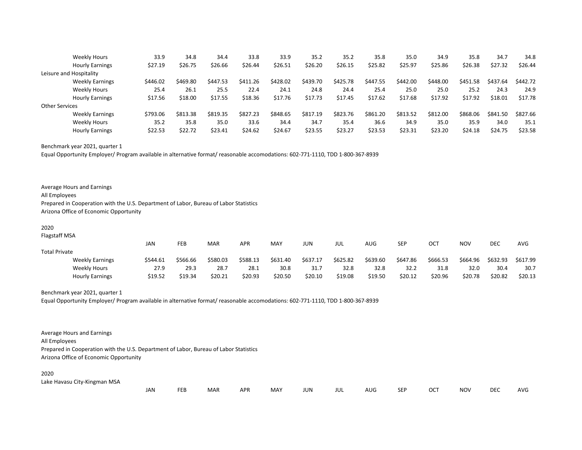|                         | Weekly Hours           | 33.9     | 34.8     | 34.4     | 33.8     | 33.9     | 35.2     | 35.2     | 35.8     | 35.0     | 34.9     | 35.8     | 34.7     | 34.8     |
|-------------------------|------------------------|----------|----------|----------|----------|----------|----------|----------|----------|----------|----------|----------|----------|----------|
|                         | <b>Hourly Earnings</b> | \$27.19  | \$26.75  | \$26.66  | \$26.44  | \$26.51  | \$26.20  | \$26.15  | \$25.82  | \$25.97  | \$25.86  | \$26.38  | \$27.32  | \$26.44  |
| Leisure and Hospitality |                        |          |          |          |          |          |          |          |          |          |          |          |          |          |
|                         | <b>Weekly Earnings</b> | \$446.02 | \$469.80 | \$447.53 | \$411.26 | \$428.02 | \$439.70 | \$425.78 | \$447.55 | \$442.00 | \$448.00 | \$451.58 | \$437.64 | \$442.72 |
|                         | Weekly Hours           | 25.4     | 26.1     | 25.5     | 22.4     | 24.1     | 24.8     | 24.4     | 25.4     | 25.0     | 25.0     | 25.2     | 24.3     | 24.9     |
|                         | <b>Hourly Earnings</b> | \$17.56  | \$18.00  | \$17.55  | \$18.36  | \$17.76  | \$17.73  | \$17.45  | \$17.62  | \$17.68  | \$17.92  | \$17.92  | \$18.01  | \$17.78  |
| <b>Other Services</b>   |                        |          |          |          |          |          |          |          |          |          |          |          |          |          |
|                         | <b>Weekly Earnings</b> | \$793.06 | \$813.38 | \$819.35 | \$827.23 | \$848.65 | \$817.19 | \$823.76 | \$861.20 | \$813.52 | \$812.00 | \$868.06 | \$841.50 | \$827.66 |
|                         | Weekly Hours           | 35.2     | 35.8     | 35.0     | 33.6     | 34.4     | 34.7     | 35.4     | 36.6     | 34.9     | 35.0     | 35.9     | 34.0     | 35.1     |
|                         | <b>Hourly Earnings</b> | \$22.53  | \$22.72  | \$23.41  | \$24.62  | \$24.67  | \$23.55  | \$23.27  | \$23.53  | \$23.31  | \$23.20  | \$24.18  | \$24.75  | \$23.58  |

Benchmark year 2021, quarter 1

Equal Opportunity Employer/ Program available in alternative format/ reasonable accomodations: 602-771-1110, TDD 1-800-367-8939

Flagstaff MSA

|                        | JAN      | FEB      | <b>MAR</b> | APR      | MAY      | JUN      | JUL      | <b>AUG</b> | SEP      | ост      | <b>NOV</b> | DEC      | AVG      |
|------------------------|----------|----------|------------|----------|----------|----------|----------|------------|----------|----------|------------|----------|----------|
| <b>Total Private</b>   |          |          |            |          |          |          |          |            |          |          |            |          |          |
| <b>Weekly Earnings</b> | \$544.61 | \$566.66 | \$580.03   | \$588.13 | \$631.40 | \$637.17 | \$625.82 | \$639.60   | \$647.86 | \$666.53 | \$664.96   | \$632.93 | \$617.99 |
| <b>Weekly Hours</b>    | 27.9     | 29.3     | 28.7       | 28.1     | 30.8     | 31.7     | 32.8     | 32.8       | 32.2     | 31.8     | 32.0       | 30.4     | 30.7     |
| <b>Hourly Earnings</b> | \$19.52  | \$19.34  | \$20.21    | \$20.93  | \$20.50  | \$20.10  | \$19.08  | \$19.50    | \$20.12  | \$20.96  | \$20.78    | \$20.82  | \$20.13  |

Benchmark year 2021, quarter 1

Equal Opportunity Employer/ Program available in alternative format/ reasonable accomodations: 602-771-1110, TDD 1-800-367-8939

Average Hours and Earnings All Employees Prepared in Cooperation with the U.S. Department of Labor, Bureau of Labor Statistics Arizona Office of Economic Opportunity

2020

Lake Havasu City-Kingman MSA

| <b>JAN</b><br>MAY<br>APR<br>JUN<br><b>MAR</b><br>SEF<br>AUG<br>jul | DEC<br>NOV<br>OC'<br>AVG |  |
|--------------------------------------------------------------------|--------------------------|--|
|--------------------------------------------------------------------|--------------------------|--|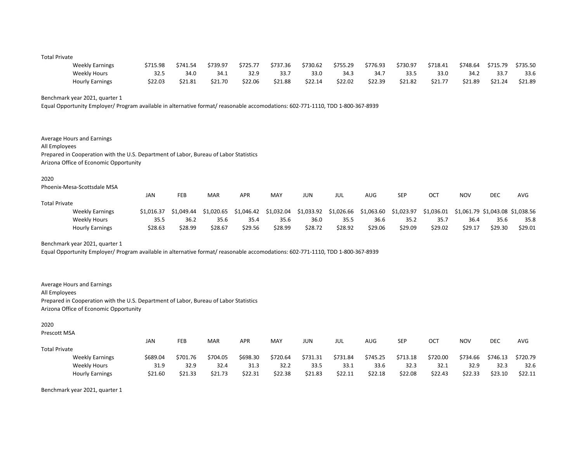#### Total Private

| <b>Weekly Earnings</b> | \$715.98 | \$741.54 | \$739.97 | \$725.77 | \$737.36 | \$730.62 | \$755.29 | \$776.93 | \$730.97 | \$718.41 | \$748.64 | \$715.79 | \$735.50 |
|------------------------|----------|----------|----------|----------|----------|----------|----------|----------|----------|----------|----------|----------|----------|
| Weekly Hours           | 32.5     | 34.0     | 34.1     | 32.9     | 33.7     | 33.0     | 34.3     | 34.7     | 33.5     | 33.0     | 34.2     | 33.7     | 33.6     |
| <b>Hourly Earnings</b> | \$22.03  | \$21.81  | \$21.70  | \$22.06  | \$21.88  | \$22.14  | \$22.02  | \$22.39  | \$21.82  | \$21.77  | \$21.89  | \$21.24  | \$21.89  |

Benchmark year 2021, quarter 1

Equal Opportunity Employer/ Program available in alternative format/ reasonable accomodations: 602-771-1110, TDD 1-800-367-8939

Average Hours and Earnings All Employees Prepared in Cooperation with the U.S. Department of Labor, Bureau of Labor Statistics Arizona Office of Economic Opportunity

### 2020

Phoenix-Mesa-Scottsdale MSA

|                      |                        | <b>JAN</b> | FEB        | MAR        | APR        | MAY        | jun        | JUL        | AUG        | SEP        | <b>OCT</b> | <b>NOV</b>                       | <b>DEC</b> | AVG     |
|----------------------|------------------------|------------|------------|------------|------------|------------|------------|------------|------------|------------|------------|----------------------------------|------------|---------|
| <b>Total Private</b> |                        |            |            |            |            |            |            |            |            |            |            |                                  |            |         |
|                      | <b>Weekly Earnings</b> | \$1.016.37 | \$1.049.44 | \$1.020.65 | \$1,046.42 | \$1.032.04 | \$1,033.92 | \$1,026.66 | \$1,063.60 | \$1,023.97 | \$1,036.01 | \$1,061.79 \$1,043.08 \$1,038.56 |            |         |
|                      | Weekly Hours           | 35.5       | 36.2       | 35.6       | 35.4       | 35.6       | 36.0       | 35.5       | 36.6       | 35.2       | 35.7       | 36.4                             | 35.6       | 35.8    |
|                      | <b>Hourly Earnings</b> | \$28.63    | \$28.99    | \$28.67    | \$29.56    | \$28.99    | \$28.72    | \$28.92    | \$29.06    | \$29.09    | \$29.02    | \$29.17                          | \$29.30    | \$29.01 |

Benchmark year 2021, quarter 1

Equal Opportunity Employer/ Program available in alternative format/ reasonable accomodations: 602-771-1110, TDD 1-800-367-8939

Average Hours and Earnings All Employees Prepared in Cooperation with the U.S. Department of Labor, Bureau of Labor Statistics Arizona Office of Economic Opportunity

#### 2020

Prescott MSA

|                        | JAN      | FEB                | <b>MAR</b> | <b>APR</b> | MAY      | JUN      | JUL      | AUG      | SEP      | ост      | <b>NOV</b> | DEC      | <b>AVG</b> |
|------------------------|----------|--------------------|------------|------------|----------|----------|----------|----------|----------|----------|------------|----------|------------|
| <b>Total Private</b>   |          |                    |            |            |          |          |          |          |          |          |            |          |            |
| <b>Weekly Earnings</b> | \$689.04 | \$701.76           | \$704.05   | \$698.30   | \$720.64 | \$731.31 | \$731.84 | \$745.25 | \$713.18 | \$720.00 | \$734.66   | \$746.13 | \$720.79   |
| Weekly Hours           |          | 32.9<br>31.9       | 32.4       | 31.3       | 32.2     | 33.5     | 33.1     | 33.6     | 32.3     | 32.1     | 32.9       | 32.3     | 32.6       |
| <b>Hourly Earnings</b> |          | \$21.33<br>\$21.60 | \$21.73    | \$22.31    | \$22.38  | \$21.83  | \$22.11  | \$22.18  | \$22.08  | \$22.43  | \$22.33    | \$23.10  | \$22.11    |

Benchmark year 2021, quarter 1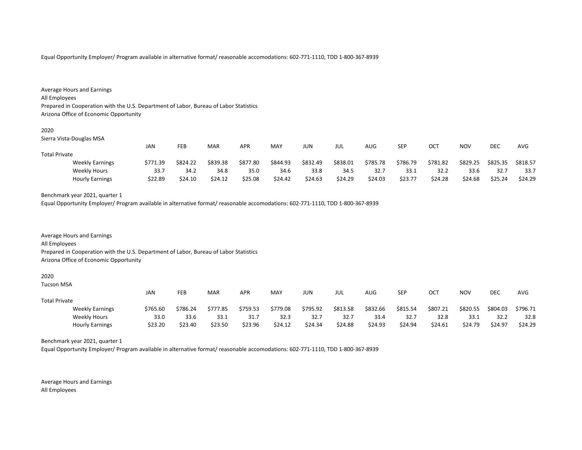Equal Opportunity Employer/ Program available in alternative format/ reasonable accomodations: 602-771-1110, TDD 1-800-367-8939

| Average Hours and Earnings                                                            |
|---------------------------------------------------------------------------------------|
| All Employees                                                                         |
| Prepared in Cooperation with the U.S. Department of Labor, Bureau of Labor Statistics |
| Arizona Office of Economic Opportunity                                                |
|                                                                                       |

Sierra Vista-Douglas MSA

|                        | JAN      | <b>FEB</b>   | MAR      | <b>APR</b> | <b>MAY</b> | JUN      | jul      | AUG      | SEP      | ост      | NOV      | <b>DEC</b> | <b>AVG</b> |
|------------------------|----------|--------------|----------|------------|------------|----------|----------|----------|----------|----------|----------|------------|------------|
| <b>Total Private</b>   |          |              |          |            |            |          |          |          |          |          |          |            |            |
| <b>Weekly Earnings</b> | \$771.39 | \$824.22     | \$839.38 | \$877.80   | \$844.93   | \$832.49 | \$838.01 | \$785.78 | \$786.79 | \$781.82 | \$829.25 | \$825.35   | \$818.57   |
| <b>Weekly Hours</b>    |          | 34.2<br>33.7 | 34.8     | 35.0       | 34.6       | 33.8     | 34.5     | 32.7     | 33.1     | 32.2     | 33.6     | 32.7       | 33.7       |
| <b>Hourly Earnings</b> | \$22.89  | \$24.10      | \$24.12  | \$25.08    | \$24.42    | \$24.63  | \$24.29  | \$24.03  | \$23.77  | \$24.28  | \$24.68  | \$25.24    | \$24.29    |

Hourly Earnings \$23.20 \$23.40 \$23.50 \$23.96 \$24.12 \$24.34 \$24.88 \$24.93 \$24.94 \$24.61 \$24.79 \$24.97 \$24.29

# Benchmark year 2021, quarter 1

Equal Opportunity Employer/ Program available in alternative format/ reasonable accomodations: 602-771-1110, TDD 1-800-367-8939

Average Hours and Earnings All Employees Prepared in Cooperation with the U.S. Department of Labor, Bureau of Labor Statistics Arizona Office of Economic Opportunity

2020

| Tucson MSA           |                        |          |          |          |          |          |          |          |          |          |          |            |          |            |
|----------------------|------------------------|----------|----------|----------|----------|----------|----------|----------|----------|----------|----------|------------|----------|------------|
|                      |                        | JAN      | FEB      | MAR      | APR      | MAY      | JUN      | JUL      | AUG      | SEP      | ОСТ      | <b>NOV</b> | DEC      | <b>AVG</b> |
| <b>Total Private</b> |                        |          |          |          |          |          |          |          |          |          |          |            |          |            |
|                      | <b>Weekly Earnings</b> | \$765.60 | \$786.24 | \$777.85 | \$759.53 | \$779.08 | \$795.92 | \$813.58 | \$832.66 | \$815.54 | \$807.21 | \$820.55   | \$804.03 | \$796.71   |
|                      | Weekly Hours           | 33.0     | 33.6     | 33.1     | 31.7     | 32.3     | 32.7     | 32.7     | 33.4     | 32.7     | 32.8     | 33.1       | 32.2     | 32.8       |

Benchmark year 2021, quarter 1

Equal Opportunity Employer/ Program available in alternative format/ reasonable accomodations: 602-771-1110, TDD 1-800-367-8939

Average Hours and Earnings All Employees